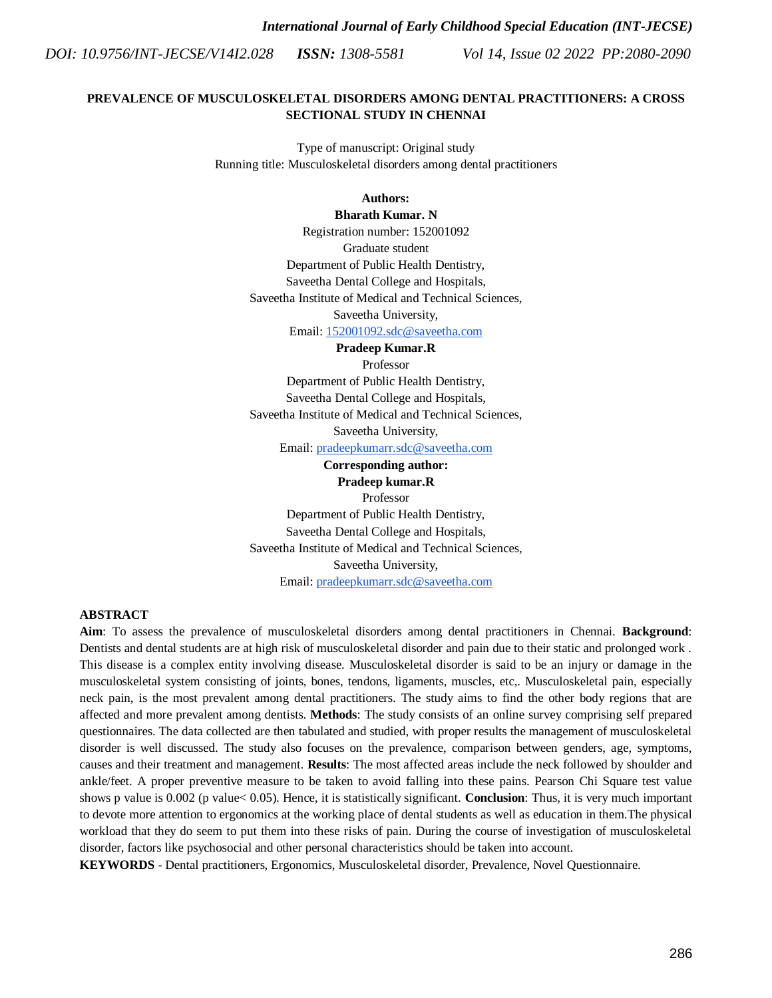*Vol 14, Issue 02 2022 PP:2080-2090*

# **PREVALENCE OF MUSCULOSKELETAL DISORDERS AMONG DENTAL PRACTITIONERS: A CROSS SECTIONAL STUDY IN CHENNAI**

Type of manuscript: Original study Running title: Musculoskeletal disorders among dental practitioners

# **Authors:**

# **Bharath Kumar. N**

Registration number: 152001092 Graduate student Department of Public Health Dentistry, Saveetha Dental College and Hospitals, Saveetha Institute of Medical and Technical Sciences,

Saveetha University,

Email[: 152001092.sdc@saveetha.com](mailto:152001092.sdc@saveetha.com)

**Pradeep Kumar.R**

Professor

Department of Public Health Dentistry, Saveetha Dental College and Hospitals, Saveetha Institute of Medical and Technical Sciences, Saveetha University,

Email[: pradeepkumarr.sdc@saveetha.com](mailto:pradeepkumarr.sdc@saveetha.com)

# **Corresponding author: Pradeep kumar.R**

Professor Department of Public Health Dentistry, Saveetha Dental College and Hospitals, Saveetha Institute of Medical and Technical Sciences, Saveetha University,

Email[: pradeepkumarr.sdc@saveetha.com](mailto:pradeepkumarr.sdc@saveetha.com)

# **ABSTRACT**

**Aim**: To assess the prevalence of musculoskeletal disorders among dental practitioners in Chennai. **Background**: Dentists and dental students are at high risk of musculoskeletal disorder and pain due to their static and prolonged work . This disease is a complex entity involving disease. Musculoskeletal disorder is said to be an injury or damage in the musculoskeletal system consisting of joints, bones, tendons, ligaments, muscles, etc,. Musculoskeletal pain, especially neck pain, is the most prevalent among dental practitioners. The study aims to find the other body regions that are affected and more prevalent among dentists. **Methods**: The study consists of an online survey comprising self prepared questionnaires. The data collected are then tabulated and studied, with proper results the management of musculoskeletal disorder is well discussed. The study also focuses on the prevalence, comparison between genders, age, symptoms, causes and their treatment and management. **Results**: The most affected areas include the neck followed by shoulder and ankle/feet. A proper preventive measure to be taken to avoid falling into these pains. Pearson Chi Square test value shows p value is 0.002 (p value< 0.05). Hence, it is statistically significant. **Conclusion**: Thus, it is very much important to devote more attention to ergonomics at the working place of dental students as well as education in them.The physical workload that they do seem to put them into these risks of pain. During the course of investigation of musculoskeletal disorder, factors like psychosocial and other personal characteristics should be taken into account.

**KEYWORDS** - Dental practitioners, Ergonomics, Musculoskeletal disorder, Prevalence, Novel Questionnaire.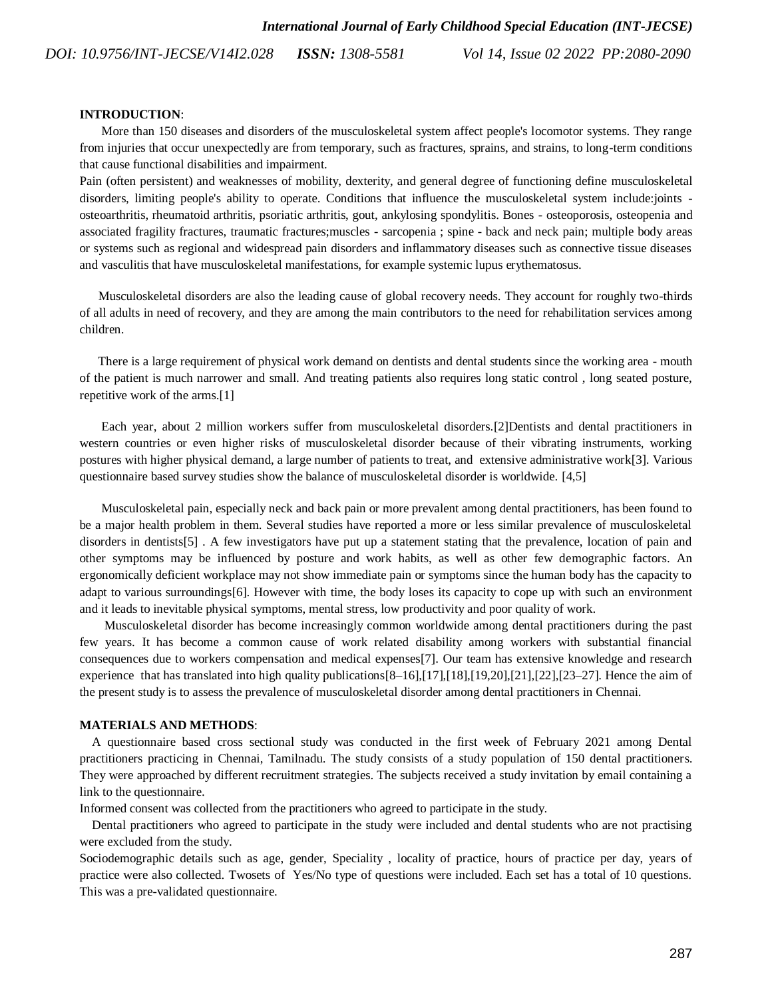*Vol 14, Issue 02 2022 PP:2080-2090*

#### **INTRODUCTION**:

 More than 150 diseases and disorders of the musculoskeletal system affect people's locomotor systems. They range from injuries that occur unexpectedly are from temporary, such as fractures, sprains, and strains, to long-term conditions that cause functional disabilities and impairment.

Pain (often persistent) and weaknesses of mobility, dexterity, and general degree of functioning define musculoskeletal disorders, limiting people's ability to operate. Conditions that influence the musculoskeletal system include:joints osteoarthritis, rheumatoid arthritis, psoriatic arthritis, gout, ankylosing spondylitis. Bones - osteoporosis, osteopenia and associated fragility fractures, traumatic fractures;muscles - sarcopenia ; spine - back and neck pain; multiple body areas or systems such as regional and widespread pain disorders and inflammatory diseases such as connective tissue diseases and vasculitis that have musculoskeletal manifestations, for example systemic lupus erythematosus.

 Musculoskeletal disorders are also the leading cause of global recovery needs. They account for roughly two-thirds of all adults in need of recovery, and they are among the main contributors to the need for rehabilitation services among children.

 There is a large requirement of physical work demand on dentists and dental students since the working area - mouth of the patient is much narrower and small. And treating patients also requires long static control , long seated posture, repetitive work of the arms[.\[1\]](https://paperpile.com/c/PHqguW/IqU2)

 Each year, about 2 million workers suffer from musculoskeletal disorder[s.\[2\]D](https://paperpile.com/c/PHqguW/uYEr)entists and dental practitioners in western countries or even higher risks of musculoskeletal disorder because of their vibrating instruments, working postures with higher physical demand, a large number of patients to treat, and extensive administrative wor[k\[3\].](https://paperpile.com/c/PHqguW/LtJ2) Various questionnaire based survey studies show the balance of musculoskeletal disorder is worldwide. [\[4,5\]](https://paperpile.com/c/PHqguW/vm8x+12kY)

 Musculoskeletal pain, especially neck and back pain or more prevalent among dental practitioners, has been found to be a major health problem in them. Several studies have reported a more or less similar prevalence of musculoskeletal disorders in dentist[s\[5\]](https://paperpile.com/c/PHqguW/12kY) . A few investigators have put up a statement stating that the prevalence, location of pain and other symptoms may be influenced by posture and work habits, as well as other few demographic factors. An ergonomically deficient workplace may not show immediate pain or symptoms since the human body has the capacity to adapt to various surrounding[s\[6\].](https://paperpile.com/c/PHqguW/oTnZ) However with time, the body loses its capacity to cope up with such an environment and it leads to inevitable physical symptoms, mental stress, low productivity and poor quality of work.

 Musculoskeletal disorder has become increasingly common worldwide among dental practitioners during the past few years. It has become a common cause of work related disability among workers with substantial financial consequences due to workers compensation and medical expense[s\[7\].](https://paperpile.com/c/PHqguW/06RY) Our team has extensive knowledge and research experience that has translated into high quality publication[s\[8–16\]](https://paperpile.com/c/PHqguW/ISaph+EHbnE+8Rbt8+8k29l+Tahly+0TSUY+jyAt2+Lzl6o+8UKss)[,\[17\]](https://paperpile.com/c/PHqguW/xAmqc)[,\[18\],](https://paperpile.com/c/PHqguW/Nu3LV)[\[19,20\]](https://paperpile.com/c/PHqguW/c3QTB+RINsf)[,\[21\]](https://paperpile.com/c/PHqguW/Hpgpt)[,\[22\]](https://paperpile.com/c/PHqguW/Lb0EY)[,\[23–27\].](https://paperpile.com/c/PHqguW/mKvbf+gDR3q+kaN2m+p1Jod+FHiNH) Hence the aim of the present study is to assess the prevalence of musculoskeletal disorder among dental practitioners in Chennai.

#### **MATERIALS AND METHODS**:

 A questionnaire based cross sectional study was conducted in the first week of February 2021 among Dental practitioners practicing in Chennai, Tamilnadu. The study consists of a study population of 150 dental practitioners. They were approached by different recruitment strategies. The subjects received a study invitation by email containing a link to the questionnaire.

Informed consent was collected from the practitioners who agreed to participate in the study.

 Dental practitioners who agreed to participate in the study were included and dental students who are not practising were excluded from the study.

Sociodemographic details such as age, gender, Speciality , locality of practice, hours of practice per day, years of practice were also collected. Twosets of Yes/No type of questions were included. Each set has a total of 10 questions. This was a pre-validated questionnaire.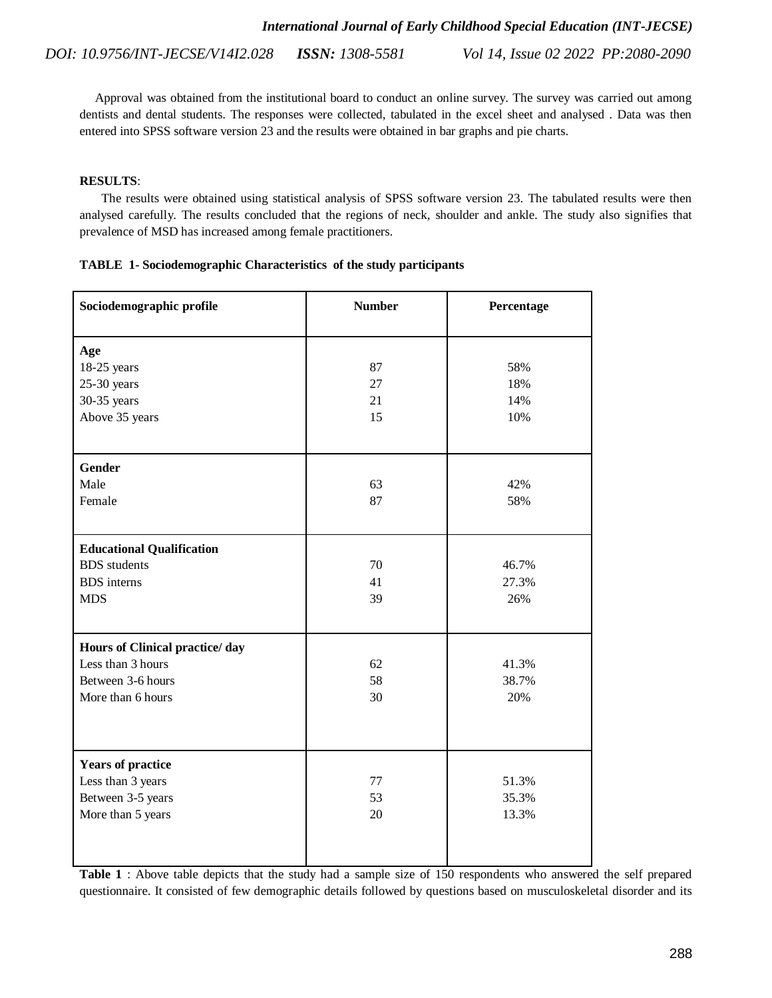Approval was obtained from the institutional board to conduct an online survey. The survey was carried out among dentists and dental students. The responses were collected, tabulated in the excel sheet and analysed . Data was then entered into SPSS software version 23 and the results were obtained in bar graphs and pie charts.

# **RESULTS**:

 The results were obtained using statistical analysis of SPSS software version 23. The tabulated results were then analysed carefully. The results concluded that the regions of neck, shoulder and ankle. The study also signifies that prevalence of MSD has increased among female practitioners.

| TABLE 1- Sociodemographic Characteristics of the study participants |
|---------------------------------------------------------------------|
|---------------------------------------------------------------------|

| Sociodemographic profile                                                                      | <b>Number</b>        | Percentage               |
|-----------------------------------------------------------------------------------------------|----------------------|--------------------------|
| Age<br>18-25 years<br>$25-30$ years<br>30-35 years<br>Above 35 years                          | 87<br>27<br>21<br>15 | 58%<br>18%<br>14%<br>10% |
| Gender<br>Male<br>Female                                                                      | 63<br>87             | 42%<br>58%               |
| <b>Educational Qualification</b><br><b>BDS</b> students<br><b>BDS</b> interns<br><b>MDS</b>   | 70<br>41<br>39       | 46.7%<br>27.3%<br>26%    |
| Hours of Clinical practice/day<br>Less than 3 hours<br>Between 3-6 hours<br>More than 6 hours | 62<br>58<br>30       | 41.3%<br>38.7%<br>20%    |
| <b>Years of practice</b><br>Less than 3 years<br>Between 3-5 years<br>More than 5 years       | 77<br>53<br>20       | 51.3%<br>35.3%<br>13.3%  |

**Table 1** : Above table depicts that the study had a sample size of 150 respondents who answered the self prepared questionnaire. It consisted of few demographic details followed by questions based on musculoskeletal disorder and its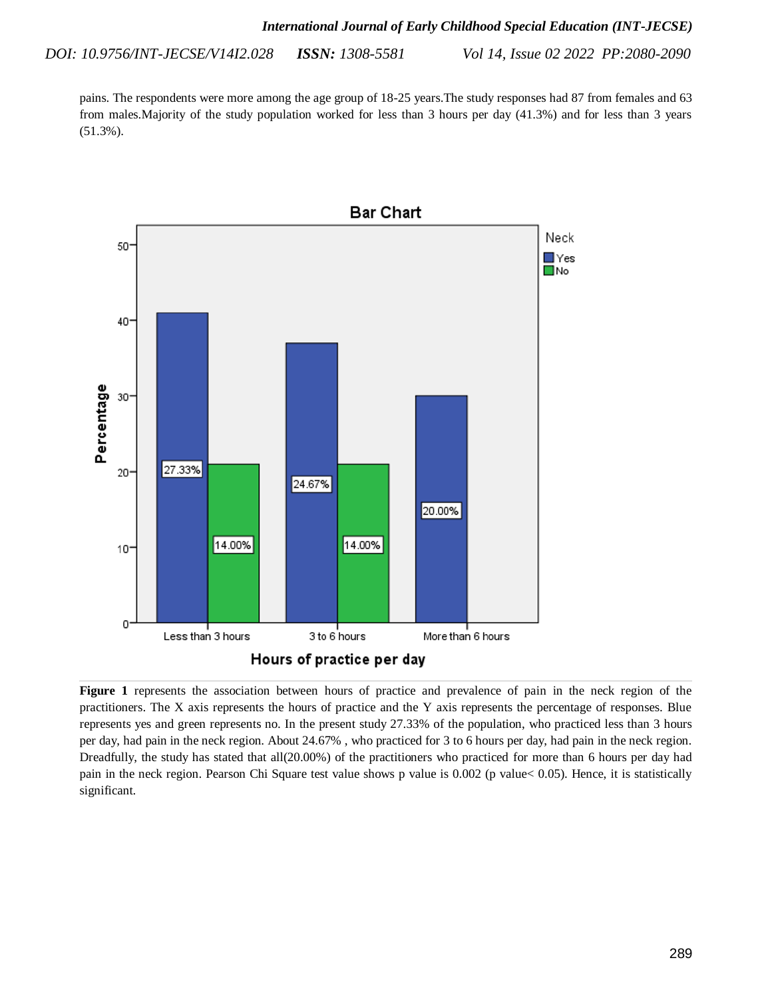pains. The respondents were more among the age group of 18-25 years.The study responses had 87 from females and 63 from males.Majority of the study population worked for less than 3 hours per day (41.3%) and for less than 3 years (51.3%).



**Figure 1** represents the association between hours of practice and prevalence of pain in the neck region of the practitioners. The X axis represents the hours of practice and the Y axis represents the percentage of responses. Blue represents yes and green represents no. In the present study 27.33% of the population, who practiced less than 3 hours per day, had pain in the neck region. About 24.67% , who practiced for 3 to 6 hours per day, had pain in the neck region. Dreadfully, the study has stated that all(20.00%) of the practitioners who practiced for more than 6 hours per day had pain in the neck region. Pearson Chi Square test value shows p value is 0.002 (p value< 0.05). Hence, it is statistically significant.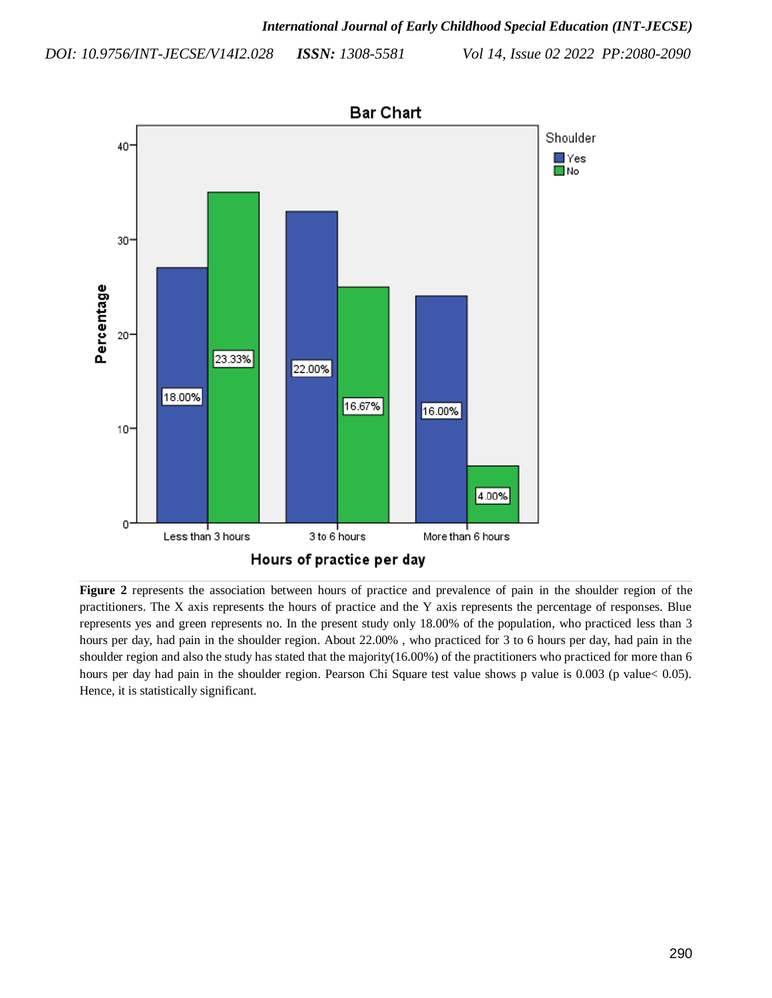*Vol 14, Issue 02 2022 PP:2080-2090*



**Figure 2** represents the association between hours of practice and prevalence of pain in the shoulder region of the practitioners. The X axis represents the hours of practice and the Y axis represents the percentage of responses. Blue represents yes and green represents no. In the present study only 18.00% of the population, who practiced less than 3 hours per day, had pain in the shoulder region. About 22.00%, who practiced for 3 to 6 hours per day, had pain in the shoulder region and also the study has stated that the majority(16.00%) of the practitioners who practiced for more than 6 hours per day had pain in the shoulder region. Pearson Chi Square test value shows p value is 0.003 (p value < 0.05). Hence, it is statistically significant.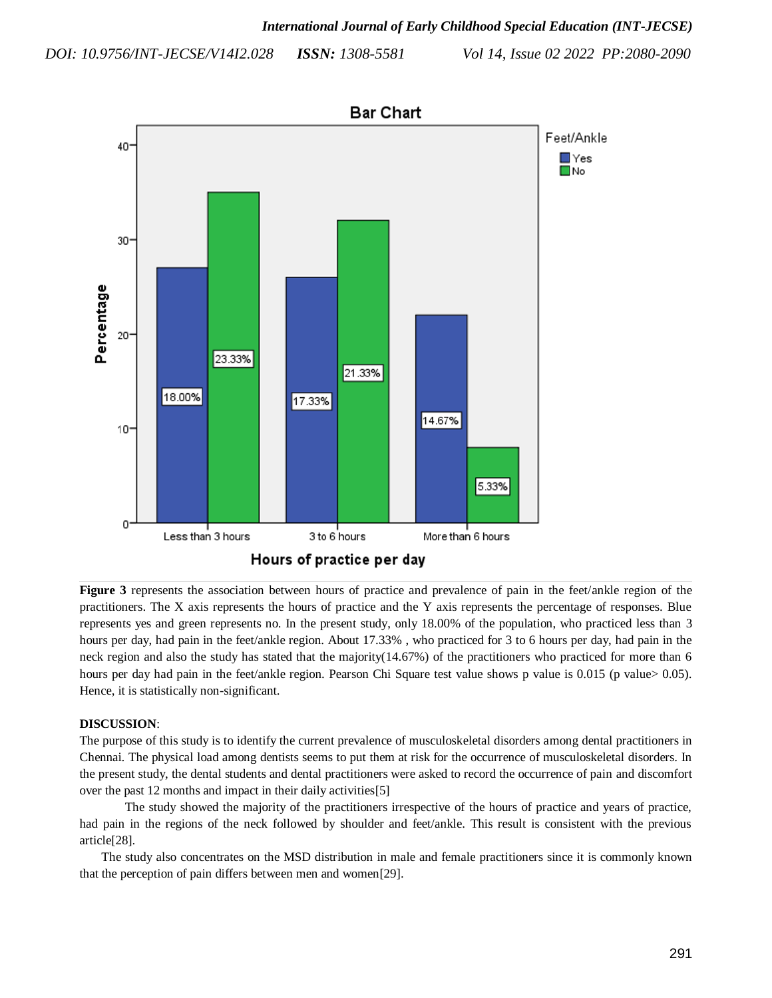*Vol 14, Issue 02 2022 PP:2080-2090*



**Figure 3** represents the association between hours of practice and prevalence of pain in the feet/ankle region of the practitioners. The X axis represents the hours of practice and the Y axis represents the percentage of responses. Blue represents yes and green represents no. In the present study, only 18.00% of the population, who practiced less than 3 hours per day, had pain in the feet/ankle region. About 17.33% , who practiced for 3 to 6 hours per day, had pain in the neck region and also the study has stated that the majority(14.67%) of the practitioners who practiced for more than 6 hours per day had pain in the feet/ankle region. Pearson Chi Square test value shows p value is 0.015 (p value> 0.05). Hence, it is statistically non-significant.

# **DISCUSSION**:

The purpose of this study is to identify the current prevalence of musculoskeletal disorders among dental practitioners in Chennai. The physical load among dentists seems to put them at risk for the occurrence of musculoskeletal disorders. In the present study, the dental students and dental practitioners were asked to record the occurrence of pain and discomfort over the past 12 months and impact in their daily activitie[s\[5\]](https://paperpile.com/c/PHqguW/12kY)

The study showed the majority of the practitioners irrespective of the hours of practice and years of practice, had pain in the regions of the neck followed by shoulder and feet/ankle. This result is consistent with the previous articl[e\[28\].](https://paperpile.com/c/PHqguW/XaWR)

 The study also concentrates on the MSD distribution in male and female practitioners since it is commonly known that the perception of pain differs between men and wome[n\[29\].](https://paperpile.com/c/PHqguW/Yp56)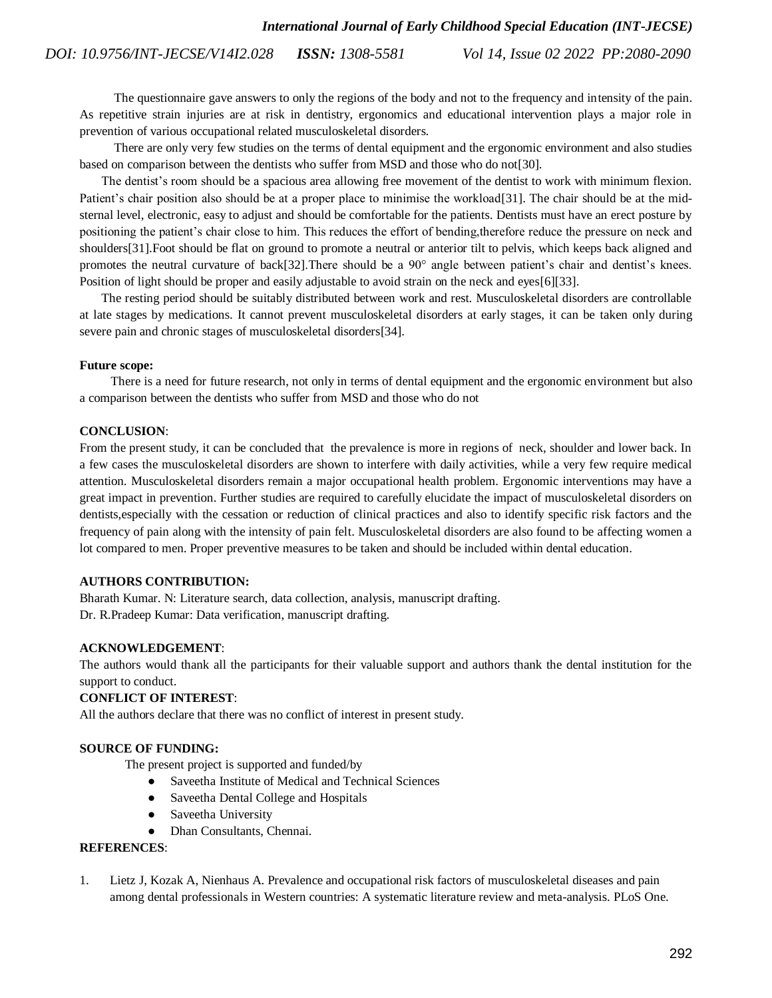The questionnaire gave answers to only the regions of the body and not to the frequency and intensity of the pain. As repetitive strain injuries are at risk in dentistry, ergonomics and educational intervention plays a major role in prevention of various occupational related musculoskeletal disorders.

 There are only very few studies on the terms of dental equipment and the ergonomic environment and also studies based on comparison between the dentists who suffer from MSD and those who do n[ot\[30\].](https://paperpile.com/c/PHqguW/8og8)

 The dentist's room should be a spacious area allowing free movement of the dentist to work with minimum flexion. Patient's chair position also should be at a proper place to minimise the workloa[d\[31\].](https://paperpile.com/c/PHqguW/v68A) The chair should be at the midsternal level, electronic, easy to adjust and should be comfortable for the patients. Dentists must have an erect posture by positioning the patient's chair close to him. This reduces the effort of bending,therefore reduce the pressure on neck and shoulder[s\[31\].](https://paperpile.com/c/PHqguW/v68A)Foot should be flat on ground to promote a neutral or anterior tilt to pelvis, which keeps back aligned and promotes the neutral curvature of bac[k\[32\].](https://paperpile.com/c/PHqguW/wdWg)There should be a 90° angle between patient's chair and dentist's knees. Position of light should be proper and easily adjustable to avoid strain on the neck and eye[s\[6\]\[33\].](https://paperpile.com/c/PHqguW/oTnZ)

 The resting period should be suitably distributed between work and rest. Musculoskeletal disorders are controllable at late stages by medications. It cannot prevent musculoskeletal disorders at early stages, it can be taken only during severe pain and chronic stages of musculoskeletal disorder[s\[34\].](https://paperpile.com/c/PHqguW/FogJ)

#### **Future scope:**

 There is a need for future research, not only in terms of dental equipment and the ergonomic environment but also a comparison between the dentists who suffer from MSD and those who do not

#### **CONCLUSION**:

From the present study, it can be concluded that the prevalence is more in regions of neck, shoulder and lower back. In a few cases the musculoskeletal disorders are shown to interfere with daily activities, while a very few require medical attention. Musculoskeletal disorders remain a major occupational health problem. Ergonomic interventions may have a great impact in prevention. Further studies are required to carefully elucidate the impact of musculoskeletal disorders on dentists,especially with the cessation or reduction of clinical practices and also to identify specific risk factors and the frequency of pain along with the intensity of pain felt. Musculoskeletal disorders are also found to be affecting women a lot compared to men. Proper preventive measures to be taken and should be included within dental education.

# **AUTHORS CONTRIBUTION:**

Bharath Kumar. N: Literature search, data collection, analysis, manuscript drafting. Dr. R.Pradeep Kumar: Data verification, manuscript drafting.

# **ACKNOWLEDGEMENT**:

The authors would thank all the participants for their valuable support and authors thank the dental institution for the support to conduct.

# **CONFLICT OF INTEREST**:

All the authors declare that there was no conflict of interest in present study.

# **SOURCE OF FUNDING:**

The present project is supported and funded/by

- Saveetha Institute of Medical and Technical Sciences
- Saveetha Dental College and Hospitals
- Saveetha University
- Dhan Consultants, Chennai.

# **REFERENCES**:

1. [Lietz J, Kozak A, Nienhaus A. Prevalence and occupational risk factors of musculoskeletal diseases and pain](http://paperpile.com/b/PHqguW/IqU2)  [among dental professionals in Western countries: A systematic literature review and meta-analysis. PLoS One.](http://paperpile.com/b/PHqguW/IqU2)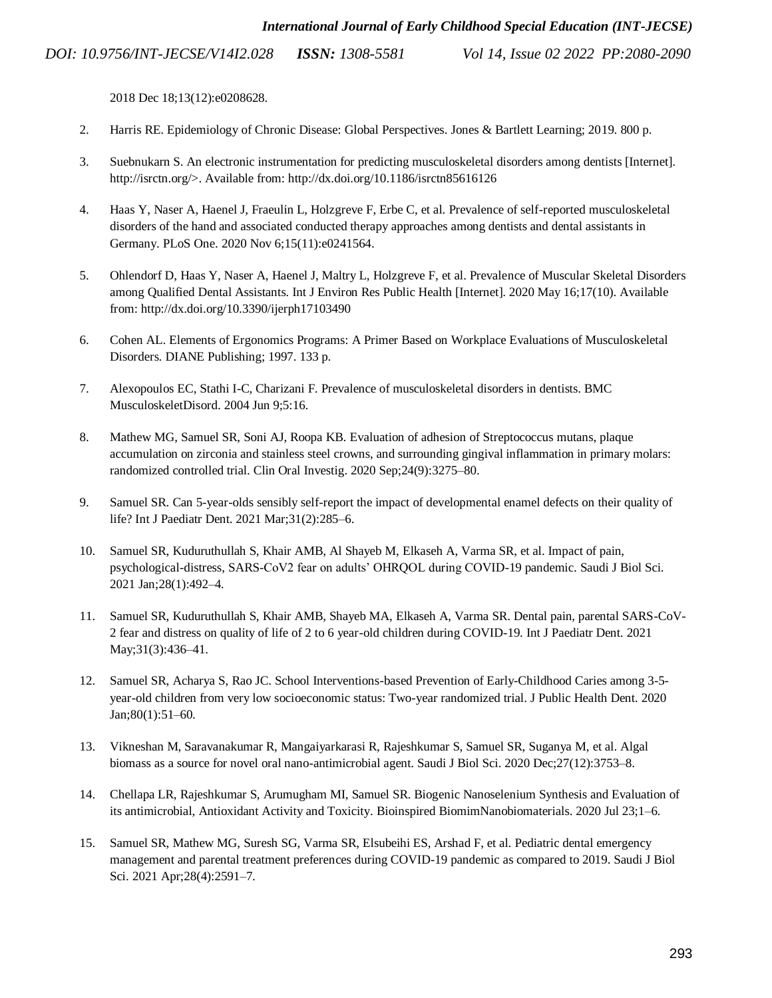*Vol 14, Issue 02 2022 PP:2080-2090*

2018 Dec 18;13(12):e0208628.

- 2. [Harris RE. Epidemiology of Chronic Disease: Global Perspectives. Jones & Bartlett Learning; 2019. 800 p.](http://paperpile.com/b/PHqguW/uYEr)
- 3. [Suebnukarn S. An electronic instrumentation for predicting musculoskeletal disorders among dentists \[Internet\].](http://paperpile.com/b/PHqguW/LtJ2)  [http://isrctn.org/>. Available from: http://dx.doi.org/10.1186/isrctn85616126](http://paperpile.com/b/PHqguW/LtJ2)
- 4. [Haas Y, Naser A, Haenel J, Fraeulin L, Holzgreve F, Erbe C, et al. Prevalence of self-reported musculoskeletal](http://paperpile.com/b/PHqguW/vm8x)  [disorders of the hand and associated conducted therapy approaches among dentists and dental assistants in](http://paperpile.com/b/PHqguW/vm8x)  [Germany. PLoS One. 2020 Nov 6;15\(11\):e0241564.](http://paperpile.com/b/PHqguW/vm8x)
- 5. [Ohlendorf D, Haas Y, Naser A, Haenel J, Maltry L, Holzgreve F, et al. Prevalence of Muscular Skeletal Disorders](http://paperpile.com/b/PHqguW/12kY)  [among Qualified Dental Assistants. Int J Environ Res Public Health \[Internet\]. 2020 May 16;17\(10\). Available](http://paperpile.com/b/PHqguW/12kY)  [from: http://dx.doi.org/10.3390/ijerph17103490](http://paperpile.com/b/PHqguW/12kY)
- 6. [Cohen AL. Elements of Ergonomics Programs: A Primer Based on Workplace Evaluations of Musculoskeletal](http://paperpile.com/b/PHqguW/oTnZ)  [Disorders. DIANE Publishing; 1997. 133 p.](http://paperpile.com/b/PHqguW/oTnZ)
- 7. [Alexopoulos EC, Stathi I-C, Charizani F. Prevalence of musculoskeletal disorders in dentists. BMC](http://paperpile.com/b/PHqguW/06RY)  [MusculoskeletDisord. 2004 Jun 9;5:16.](http://paperpile.com/b/PHqguW/06RY)
- 8. [Mathew MG, Samuel SR, Soni AJ, Roopa KB. Evaluation of adhesion](http://paperpile.com/b/PHqguW/ISaph) of Streptococcus mutans, plaque [accumulation on zirconia and stainless steel crowns, and surrounding gingival inflammation in primary molars:](http://paperpile.com/b/PHqguW/ISaph)  [randomized controlled trial. Clin Oral Investig. 2020 Sep;24\(9\):3275–80.](http://paperpile.com/b/PHqguW/ISaph)
- 9. [Samuel SR. Can 5-year-olds sensibly self-report the impact of developmental enamel defects on their quality of](http://paperpile.com/b/PHqguW/EHbnE)  [life? Int J Paediatr Dent. 2021 Mar;31\(2\):285–6.](http://paperpile.com/b/PHqguW/EHbnE)
- 10. [Samuel SR, Kuduruthullah S, Khair AMB, Al Shayeb M, Elkaseh A, Varma SR, et al. Impact of pain,](http://paperpile.com/b/PHqguW/8Rbt8)  [psychological-distress, SARS-CoV2 fear on adults' OHRQOL during COVID-19 pandemic. Saudi J Biol Sci.](http://paperpile.com/b/PHqguW/8Rbt8)  [2021 Jan;28\(1\):492–4.](http://paperpile.com/b/PHqguW/8Rbt8)
- 11. [Samuel SR, Kuduruthullah S, Khair AMB, Shayeb MA, Elkaseh A, Varma SR. Dental pain, parental SARS-CoV-](http://paperpile.com/b/PHqguW/8k29l)[2 fear and distress on quality of life of 2 to 6 year-old children during COVID-19. Int J Paediatr Dent. 2021](http://paperpile.com/b/PHqguW/8k29l)  May; 31(3): 436-41.
- 12. [Samuel SR, Acharya S, Rao JC. School Interventions-based Prevention of Early-Childhood Caries among 3-5](http://paperpile.com/b/PHqguW/Tahly) [year-old children from very low socioeconomic status: Two-year randomized trial. J Public Health Dent. 2020](http://paperpile.com/b/PHqguW/Tahly)  [Jan;80\(1\):51–60.](http://paperpile.com/b/PHqguW/Tahly)
- 13. [Vikneshan M, Saravanakumar R, Mangaiyarkarasi R, Rajeshkumar S, Samuel SR, Suganya M, et al. Algal](http://paperpile.com/b/PHqguW/0TSUY)  [biomass as a source for novel oral nano-antimicrobial agent.](http://paperpile.com/b/PHqguW/0TSUY) Saudi J Biol Sci. 2020 Dec;27(12):3753–8.
- 14. [Chellapa LR, Rajeshkumar S, Arumugham MI, Samuel SR. Biogenic Nanoselenium Synthesis and Evaluation of](http://paperpile.com/b/PHqguW/jyAt2)  [its antimicrobial, Antioxidant Activity and Toxicity. Bioinspired BiomimNanobiomaterials. 2020 Jul 23;1–6.](http://paperpile.com/b/PHqguW/jyAt2)
- 15. [Samuel SR, Mathew MG, Suresh SG, Varma SR, Elsubeihi ES, Arshad F, et al. Pediatric dental emergency](http://paperpile.com/b/PHqguW/Lzl6o)  [management and parental treatment preferences during COVID-19 pandemic as compared to 2019. Saudi J Biol](http://paperpile.com/b/PHqguW/Lzl6o)  [Sci. 2021 Apr;28\(4\):2591–7.](http://paperpile.com/b/PHqguW/Lzl6o)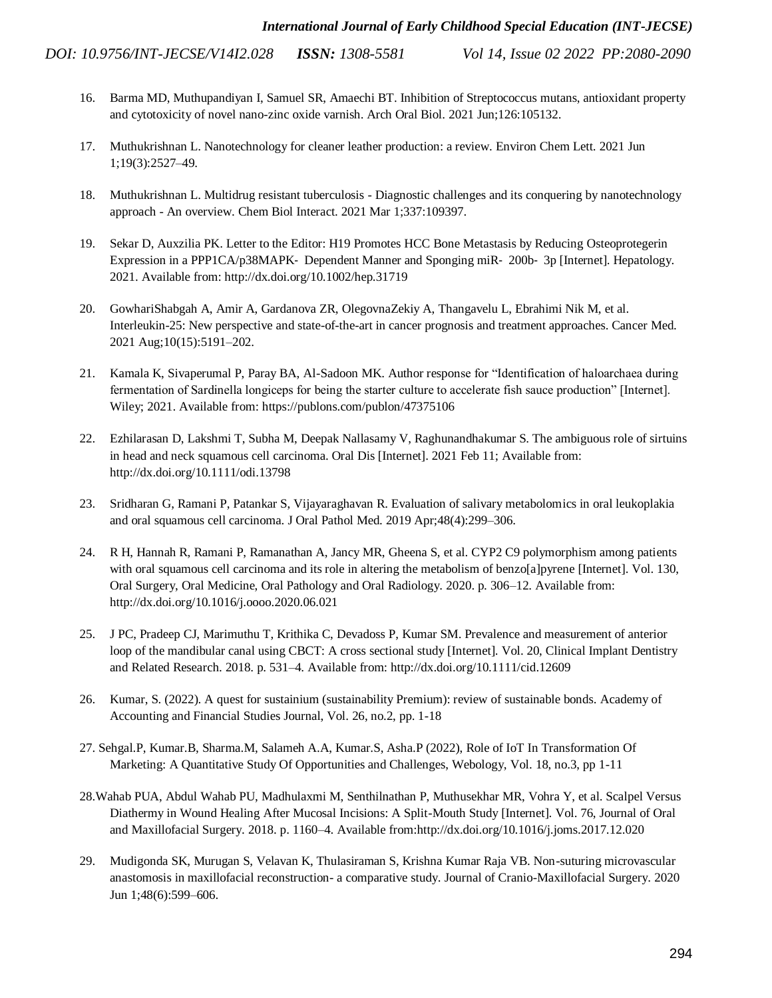- 16. [Barma MD, Muthupandiyan I, Samuel SR, Amaechi BT. Inhibition of Streptococcus mutans, antioxidant property](http://paperpile.com/b/PHqguW/8UKss)  [and cytotoxicity of novel nano-zinc oxide varnish. Arch Oral Biol. 2021 Jun;126:105132.](http://paperpile.com/b/PHqguW/8UKss)
- 17. [Muthukrishnan L. Nanotechnology for cleaner leather production: a review. Environ Chem Lett. 2021 Jun](http://paperpile.com/b/PHqguW/xAmqc)  [1;19\(3\):2527–49.](http://paperpile.com/b/PHqguW/xAmqc)
- 18. Muthukrishnan L. Multidrug resistant tuberculosis [Diagnostic challenges and its conquering by nanotechnology](http://paperpile.com/b/PHqguW/Nu3LV)  approach - [An overview. Chem Biol Interact. 2021 Mar 1;337:109397.](http://paperpile.com/b/PHqguW/Nu3LV)
- 19. [Sekar D, Auxzilia PK. Letter to the Editor: H19 Promotes HCC Bone Metastasis by Reducing Osteoprotegerin](http://paperpile.com/b/PHqguW/c3QTB)  Expression in a PPP1CA/p38MAPK‐ [Dependent Manner and Sponging miR](http://paperpile.com/b/PHqguW/c3QTB)‐ 200b‐ 3p [Internet]. Hepatology. [2021. Available from: http://dx.doi.org/10.1002/hep.31719](http://paperpile.com/b/PHqguW/c3QTB)
- 20. [GowhariShabgah A, Amir A, Gardanova ZR, OlegovnaZekiy A, Thangavelu L, Ebrahimi Nik M, et al.](http://paperpile.com/b/PHqguW/RINsf)  [Interleukin-25: New perspective and state-of-the-art in cancer prognosis and treatment approaches. Cancer Med.](http://paperpile.com/b/PHqguW/RINsf)  [2021 Aug;10\(15\):5191–202.](http://paperpile.com/b/PHqguW/RINsf)
- 21. [Kamala K, Sivaperumal P, Paray BA, Al-Sadoon MK. Author response for "Identification of haloarchaea during](http://paperpile.com/b/PHqguW/Hpgpt)  [fermentation of Sardinella longiceps for being the starter culture to accelerate fish sauce production" \[Internet\].](http://paperpile.com/b/PHqguW/Hpgpt)  [Wiley; 2021. Available from: https://publons.com/publon/47375106](http://paperpile.com/b/PHqguW/Hpgpt)
- 22. [Ezhilarasan D, Lakshmi T, Subha M, Deepak Nallasamy V, Raghunandhakumar S. The ambiguous role of sirtuins](http://paperpile.com/b/PHqguW/Lb0EY)  [in head and neck squamous cell carcinoma. Oral Dis \[Internet\]. 2021 Feb 11; Available from:](http://paperpile.com/b/PHqguW/Lb0EY)  [http://dx.doi.org/10.1111/odi.13798](http://paperpile.com/b/PHqguW/Lb0EY)
- 23. [Sridharan G, Ramani P, Patankar S, Vijayaraghavan R. Evaluation of salivary metabolomics in oral leukoplakia](http://paperpile.com/b/PHqguW/mKvbf)  [and oral squamous cell carcinoma. J Oral Pathol Med. 2019 Apr;48\(4\):299–306.](http://paperpile.com/b/PHqguW/mKvbf)
- 24. [R H, Hannah R, Ramani P, Ramanathan A, Jancy MR, Gheena S, et al. CYP2 C9 polymorphism among patients](http://paperpile.com/b/PHqguW/gDR3q)  with oral squamous cell carcinoma and its role in altering the metabolism of benzo[a]pyrene [Internet]. Vol. 130, [Oral Surgery, Oral Medicine, Oral Pathology and Oral Radiology. 2020. p. 306–12. Available from:](http://paperpile.com/b/PHqguW/gDR3q)  [http://dx.doi.org/10.1016/j.oooo.2020.06.021](http://paperpile.com/b/PHqguW/gDR3q)
- 25. [J PC, Pradeep CJ, Marimuthu T, Krithika C, Devadoss P, Kumar SM. Prevalence and measurement of anterior](http://paperpile.com/b/PHqguW/kaN2m)  [loop of the mandibular canal using CBCT: A cross sectional study \[Internet\]. Vol. 20, Clinical Implant Dentistry](http://paperpile.com/b/PHqguW/kaN2m)  [and Related Research. 2018. p. 531–4. Available from: http://dx.doi.org/10.1111/cid.12609](http://paperpile.com/b/PHqguW/kaN2m)
- 26. Kumar, S. (2022). A quest for sustainium (sustainability Premium): review of sustainable bonds. Academy of Accounting and Financial Studies Journal, Vol. 26, no.2, pp. 1-18
- 27. Sehgal.P, Kumar.B, Sharma.M, Salameh A.A, Kumar.S, Asha.P (2022), Role of IoT In Transformation Of Marketing: A Quantitative Study Of Opportunities and Challenges, Webology, Vol. 18, no.3, pp 1-11
- 2[8.Wahab PUA, Abdul Wahab PU, Madhulaxmi M, Senthilnathan P, Muthusekhar MR, Vohra Y, et al. Scalpel Versus](Wahab%20PUA,%20Abdul%20Wahab%20PU,%20Madhulaxmi%20M,%20Senthilnathan%20P,%20Muthusekhar%20MR,%20Vohra%20Y,%20et%20al.%20Scalpel%20Versus%20Diathermy%20in%20Wound%20Healing%20After%20Mucosal%20Incisions:%20A%20Split-Mouth%20Study%20%5bInternet%5d.%20Vol.%2076,%20Journal%20of%20Oral%20and%20Maxillofacial%20Surgery.%202018.%20p.%201160�4.%20Available%20from:)  [Diathermy in Wound Healing After Mucosal Incisions: A Split-Mouth Study \[Internet\]. Vol. 76, Journal of Oral](Wahab%20PUA,%20Abdul%20Wahab%20PU,%20Madhulaxmi%20M,%20Senthilnathan%20P,%20Muthusekhar%20MR,%20Vohra%20Y,%20et%20al.%20Scalpel%20Versus%20Diathermy%20in%20Wound%20Healing%20After%20Mucosal%20Incisions:%20A%20Split-Mouth%20Study%20%5bInternet%5d.%20Vol.%2076,%20Journal%20of%20Oral%20and%20Maxillofacial%20Surgery.%202018.%20p.%201160�4.%20Available%20from:)  [and Maxillofacial Surgery. 2018. p. 1160–4. Available from:http://dx.doi.org/10.1016/j.joms.2017.12.020](Wahab%20PUA,%20Abdul%20Wahab%20PU,%20Madhulaxmi%20M,%20Senthilnathan%20P,%20Muthusekhar%20MR,%20Vohra%20Y,%20et%20al.%20Scalpel%20Versus%20Diathermy%20in%20Wound%20Healing%20After%20Mucosal%20Incisions:%20A%20Split-Mouth%20Study%20%5bInternet%5d.%20Vol.%2076,%20Journal%20of%20Oral%20and%20Maxillofacial%20Surgery.%202018.%20p.%201160�4.%20Available%20from:)
- 29. [Mudigonda SK, Murugan S, Velavan K, Thulasiraman S, Krishna Kumar Raja VB. Non-suturing microvascular](http://paperpile.com/b/PHqguW/FHiNH)  anastomosis in maxillofacial reconstruction- [a comparative study. Journal of Cranio-Maxillofacial Surgery. 2020](http://paperpile.com/b/PHqguW/FHiNH)  [Jun 1;48\(6\):599–606.](http://paperpile.com/b/PHqguW/FHiNH)